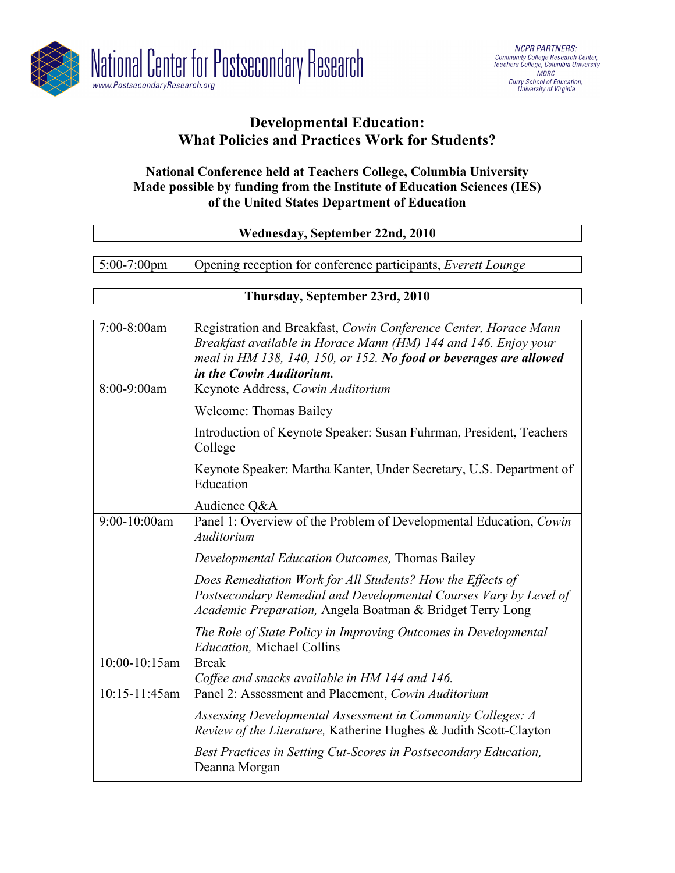

# **Developmental Education: What Policies and Practices Work for Students?**

## **National Conference held at Teachers College, Columbia University Made possible by funding from the Institute of Education Sciences (IES) of the United States Department of Education**

| Wednesday, September 22nd, 2010 |                                                                                                                                                                                                                                       |  |
|---------------------------------|---------------------------------------------------------------------------------------------------------------------------------------------------------------------------------------------------------------------------------------|--|
|                                 |                                                                                                                                                                                                                                       |  |
| 5:00-7:00pm                     | Opening reception for conference participants, Everett Lounge                                                                                                                                                                         |  |
|                                 |                                                                                                                                                                                                                                       |  |
| Thursday, September 23rd, 2010  |                                                                                                                                                                                                                                       |  |
| 7:00-8:00am                     | Registration and Breakfast, Cowin Conference Center, Horace Mann<br>Breakfast available in Horace Mann (HM) 144 and 146. Enjoy your<br>meal in HM 138, 140, 150, or 152. No food or beverages are allowed<br>in the Cowin Auditorium. |  |
| 8:00-9:00am                     | Keynote Address, Cowin Auditorium                                                                                                                                                                                                     |  |
|                                 | <b>Welcome: Thomas Bailey</b>                                                                                                                                                                                                         |  |
|                                 | Introduction of Keynote Speaker: Susan Fuhrman, President, Teachers<br>College                                                                                                                                                        |  |
|                                 | Keynote Speaker: Martha Kanter, Under Secretary, U.S. Department of<br>Education                                                                                                                                                      |  |
|                                 | Audience Q&A                                                                                                                                                                                                                          |  |
| 9:00-10:00am                    | Panel 1: Overview of the Problem of Developmental Education, Cowin<br>Auditorium                                                                                                                                                      |  |
|                                 | Developmental Education Outcomes, Thomas Bailey                                                                                                                                                                                       |  |
|                                 | Does Remediation Work for All Students? How the Effects of<br>Postsecondary Remedial and Developmental Courses Vary by Level of<br>Academic Preparation, Angela Boatman & Bridget Terry Long                                          |  |
|                                 | The Role of State Policy in Improving Outcomes in Developmental<br><b>Education</b> , Michael Collins                                                                                                                                 |  |
| 10:00-10:15am                   | <b>Break</b><br>Coffee and snacks available in HM 144 and 146.                                                                                                                                                                        |  |
| 10:15-11:45am                   | Panel 2: Assessment and Placement, Cowin Auditorium                                                                                                                                                                                   |  |
|                                 | Assessing Developmental Assessment in Community Colleges: A<br>Review of the Literature, Katherine Hughes & Judith Scott-Clayton                                                                                                      |  |
|                                 | Best Practices in Setting Cut-Scores in Postsecondary Education,<br>Deanna Morgan                                                                                                                                                     |  |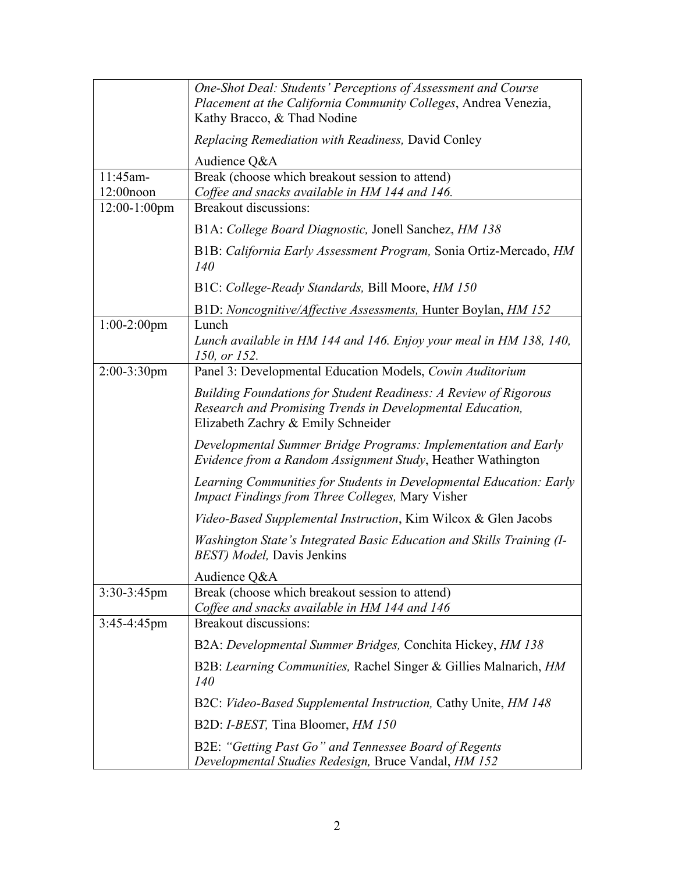|                              | One-Shot Deal: Students' Perceptions of Assessment and Course<br>Placement at the California Community Colleges, Andrea Venezia,<br>Kathy Bracco, & Thad Nodine            |
|------------------------------|----------------------------------------------------------------------------------------------------------------------------------------------------------------------------|
|                              | Replacing Remediation with Readiness, David Conley                                                                                                                         |
|                              | Audience Q&A                                                                                                                                                               |
| 11:45am-                     | Break (choose which breakout session to attend)                                                                                                                            |
| $12:00$ noon<br>12:00-1:00pm | Coffee and snacks available in HM 144 and 146.<br><b>Breakout discussions:</b>                                                                                             |
|                              | B1A: College Board Diagnostic, Jonell Sanchez, HM 138                                                                                                                      |
|                              | B1B: California Early Assessment Program, Sonia Ortiz-Mercado, HM<br>140                                                                                                   |
|                              | B1C: College-Ready Standards, Bill Moore, HM 150                                                                                                                           |
|                              | B1D: Noncognitive/Affective Assessments, Hunter Boylan, HM 152                                                                                                             |
| $1:00-2:00$ pm               | Lunch<br>Lunch available in HM 144 and 146. Enjoy your meal in HM 138, 140,<br>150, or 152.                                                                                |
| $2:00-3:30$ pm               | Panel 3: Developmental Education Models, Cowin Auditorium                                                                                                                  |
|                              | <b>Building Foundations for Student Readiness: A Review of Rigorous</b><br>Research and Promising Trends in Developmental Education,<br>Elizabeth Zachry & Emily Schneider |
|                              | Developmental Summer Bridge Programs: Implementation and Early<br>Evidence from a Random Assignment Study, Heather Wathington                                              |
|                              | Learning Communities for Students in Developmental Education: Early<br><b>Impact Findings from Three Colleges, Mary Visher</b>                                             |
|                              | <i>Video-Based Supplemental Instruction, Kim Wilcox &amp; Glen Jacobs</i>                                                                                                  |
|                              | Washington State's Integrated Basic Education and Skills Training (I-<br><b>BEST</b> ) Model, Davis Jenkins                                                                |
|                              | Audience Q&A                                                                                                                                                               |
| $3:30-3:45$ pm               | Break (choose which breakout session to attend)<br>Coffee and snacks available in HM 144 and 146                                                                           |
| $3:45-4:45$ pm               | Breakout discussions:                                                                                                                                                      |
|                              | B2A: Developmental Summer Bridges, Conchita Hickey, HM 138                                                                                                                 |
|                              | B2B: Learning Communities, Rachel Singer & Gillies Malnarich, HM<br><i>140</i>                                                                                             |
|                              | B2C: Video-Based Supplemental Instruction, Cathy Unite, HM 148                                                                                                             |
|                              | B2D: I-BEST, Tina Bloomer, HM 150                                                                                                                                          |
|                              | B2E: "Getting Past Go" and Tennessee Board of Regents<br>Developmental Studies Redesign, Bruce Vandal, HM 152                                                              |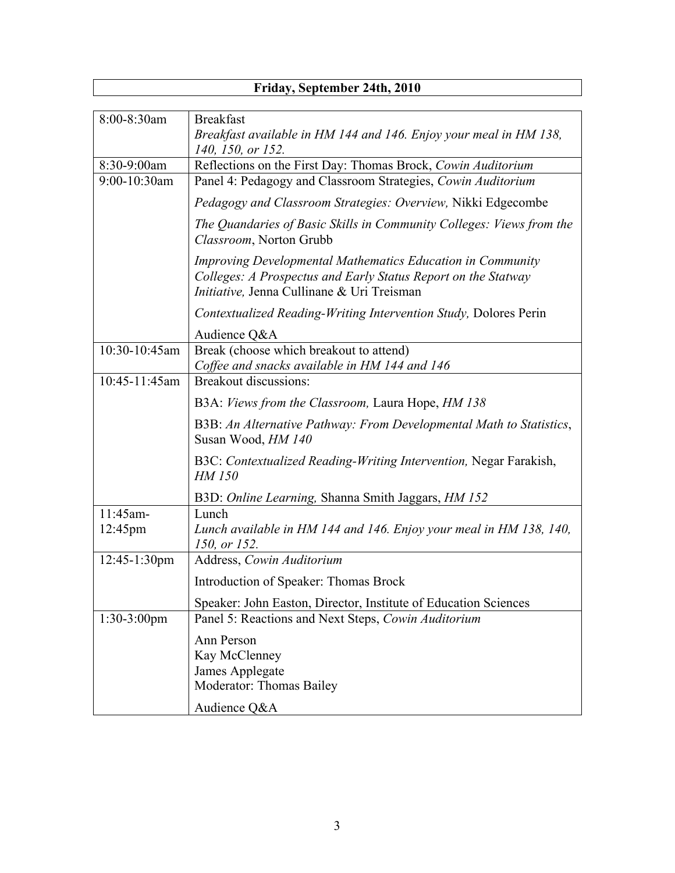| Friday, September 24th, 2010  |                                                                                                                                                                                  |  |
|-------------------------------|----------------------------------------------------------------------------------------------------------------------------------------------------------------------------------|--|
|                               |                                                                                                                                                                                  |  |
| 8:00-8:30am                   | <b>Breakfast</b><br>Breakfast available in HM 144 and 146. Enjoy your meal in HM 138,<br>140, 150, or 152.                                                                       |  |
| 8:30-9:00am                   | Reflections on the First Day: Thomas Brock, Cowin Auditorium                                                                                                                     |  |
| $9:00-10:30$ am               | Panel 4: Pedagogy and Classroom Strategies, Cowin Auditorium                                                                                                                     |  |
|                               | <i>Pedagogy and Classroom Strategies: Overview, Nikki Edgecombe</i>                                                                                                              |  |
|                               | The Quandaries of Basic Skills in Community Colleges: Views from the<br>Classroom, Norton Grubb                                                                                  |  |
|                               | <b>Improving Developmental Mathematics Education in Community</b><br>Colleges: A Prospectus and Early Status Report on the Statway<br>Initiative, Jenna Cullinane & Uri Treisman |  |
|                               | Contextualized Reading-Writing Intervention Study, Dolores Perin                                                                                                                 |  |
|                               | Audience Q&A                                                                                                                                                                     |  |
| 10:30-10:45am                 | Break (choose which breakout to attend)<br>Coffee and snacks available in HM 144 and 146                                                                                         |  |
| 10:45-11:45am                 | Breakout discussions:                                                                                                                                                            |  |
|                               | B3A: Views from the Classroom, Laura Hope, HM 138                                                                                                                                |  |
|                               | B3B: An Alternative Pathway: From Developmental Math to Statistics,<br>Susan Wood, HM 140                                                                                        |  |
|                               | B3C: Contextualized Reading-Writing Intervention, Negar Farakish,<br>HM 150                                                                                                      |  |
|                               | B3D: Online Learning, Shanna Smith Jaggars, HM 152                                                                                                                               |  |
| 11:45am-<br>$12:45 \text{pm}$ | Lunch<br>Lunch available in HM 144 and 146. Enjoy your meal in HM 138, 140,<br>150, or 152.                                                                                      |  |
| $12:45-1:30$ pm               | Address, Cowin Auditorium                                                                                                                                                        |  |
|                               | Introduction of Speaker: Thomas Brock                                                                                                                                            |  |
|                               | Speaker: John Easton, Director, Institute of Education Sciences                                                                                                                  |  |
| $1:30-3:00$ pm                | Panel 5: Reactions and Next Steps, Cowin Auditorium                                                                                                                              |  |
|                               | Ann Person<br>Kay McClenney<br>James Applegate<br>Moderator: Thomas Bailey                                                                                                       |  |
|                               | Audience Q&A                                                                                                                                                                     |  |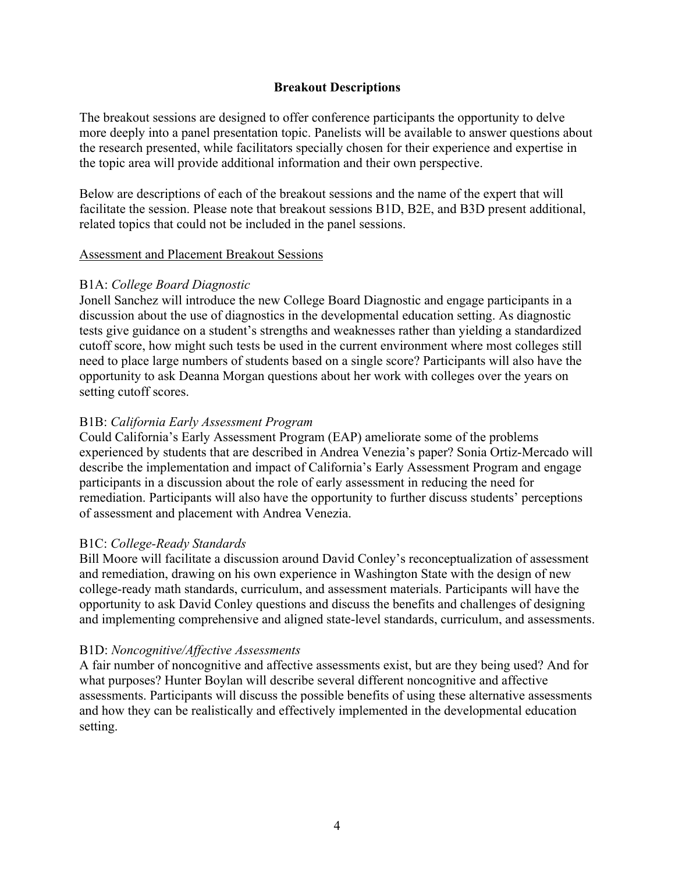## **Breakout Descriptions**

The breakout sessions are designed to offer conference participants the opportunity to delve more deeply into a panel presentation topic. Panelists will be available to answer questions about the research presented, while facilitators specially chosen for their experience and expertise in the topic area will provide additional information and their own perspective.

Below are descriptions of each of the breakout sessions and the name of the expert that will facilitate the session. Please note that breakout sessions B1D, B2E, and B3D present additional, related topics that could not be included in the panel sessions.

## Assessment and Placement Breakout Sessions

## B1A: *College Board Diagnostic*

Jonell Sanchez will introduce the new College Board Diagnostic and engage participants in a discussion about the use of diagnostics in the developmental education setting. As diagnostic tests give guidance on a student's strengths and weaknesses rather than yielding a standardized cutoff score, how might such tests be used in the current environment where most colleges still need to place large numbers of students based on a single score? Participants will also have the opportunity to ask Deanna Morgan questions about her work with colleges over the years on setting cutoff scores.

## B1B: *California Early Assessment Program*

Could California's Early Assessment Program (EAP) ameliorate some of the problems experienced by students that are described in Andrea Venezia's paper? Sonia Ortiz-Mercado will describe the implementation and impact of California's Early Assessment Program and engage participants in a discussion about the role of early assessment in reducing the need for remediation. Participants will also have the opportunity to further discuss students' perceptions of assessment and placement with Andrea Venezia.

## B1C: *College-Ready Standards*

Bill Moore will facilitate a discussion around David Conley's reconceptualization of assessment and remediation, drawing on his own experience in Washington State with the design of new college-ready math standards, curriculum, and assessment materials. Participants will have the opportunity to ask David Conley questions and discuss the benefits and challenges of designing and implementing comprehensive and aligned state-level standards, curriculum, and assessments.

## B1D: *Noncognitive/Affective Assessments*

A fair number of noncognitive and affective assessments exist, but are they being used? And for what purposes? Hunter Boylan will describe several different noncognitive and affective assessments. Participants will discuss the possible benefits of using these alternative assessments and how they can be realistically and effectively implemented in the developmental education setting.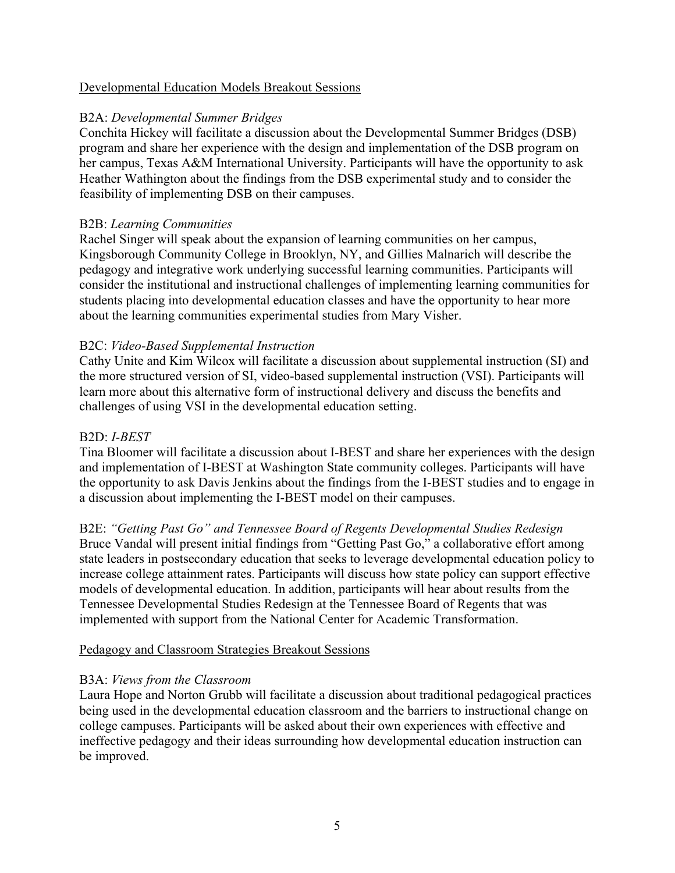## Developmental Education Models Breakout Sessions

## B2A: *Developmental Summer Bridges*

Conchita Hickey will facilitate a discussion about the Developmental Summer Bridges (DSB) program and share her experience with the design and implementation of the DSB program on her campus, Texas A&M International University. Participants will have the opportunity to ask Heather Wathington about the findings from the DSB experimental study and to consider the feasibility of implementing DSB on their campuses.

## B2B: *Learning Communities*

Rachel Singer will speak about the expansion of learning communities on her campus, Kingsborough Community College in Brooklyn, NY, and Gillies Malnarich will describe the pedagogy and integrative work underlying successful learning communities. Participants will consider the institutional and instructional challenges of implementing learning communities for students placing into developmental education classes and have the opportunity to hear more about the learning communities experimental studies from Mary Visher.

## B2C: *Video-Based Supplemental Instruction*

Cathy Unite and Kim Wilcox will facilitate a discussion about supplemental instruction (SI) and the more structured version of SI, video-based supplemental instruction (VSI). Participants will learn more about this alternative form of instructional delivery and discuss the benefits and challenges of using VSI in the developmental education setting.

## B2D: *I-BEST*

Tina Bloomer will facilitate a discussion about I-BEST and share her experiences with the design and implementation of I-BEST at Washington State community colleges. Participants will have the opportunity to ask Davis Jenkins about the findings from the I-BEST studies and to engage in a discussion about implementing the I-BEST model on their campuses.

B2E: *"Getting Past Go" and Tennessee Board of Regents Developmental Studies Redesign* Bruce Vandal will present initial findings from "Getting Past Go," a collaborative effort among state leaders in postsecondary education that seeks to leverage developmental education policy to increase college attainment rates. Participants will discuss how state policy can support effective models of developmental education. In addition, participants will hear about results from the Tennessee Developmental Studies Redesign at the Tennessee Board of Regents that was implemented with support from the National Center for Academic Transformation.

## Pedagogy and Classroom Strategies Breakout Sessions

## B3A: *Views from the Classroom*

Laura Hope and Norton Grubb will facilitate a discussion about traditional pedagogical practices being used in the developmental education classroom and the barriers to instructional change on college campuses. Participants will be asked about their own experiences with effective and ineffective pedagogy and their ideas surrounding how developmental education instruction can be improved.